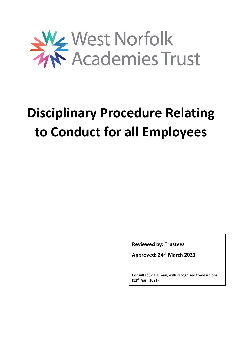

# **Disciplinary Procedure Relating to Conduct for all Employees**

**Reviewed by: Trustees**

**Approved: 24th March 2021**

**Consulted, via e-mail, with recognised trade unions (12th April 2021)**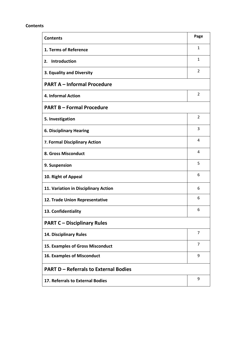#### **Contents**

| <b>Contents</b>                              | Page           |
|----------------------------------------------|----------------|
| 1. Terms of Reference                        | $\mathbf{1}$   |
| <b>Introduction</b><br>2.                    | $\mathbf{1}$   |
| 3. Equality and Diversity                    | $\overline{2}$ |
| <b>PART A - Informal Procedure</b>           |                |
| <b>4. Informal Action</b>                    | 2              |
| <b>PART B - Formal Procedure</b>             |                |
| 5. Investigation                             | 2              |
| <b>6. Disciplinary Hearing</b>               | 3              |
| 7. Formal Disciplinary Action                | 4              |
| 8. Gross Misconduct                          | $\overline{a}$ |
| 9. Suspension                                | 5              |
| 10. Right of Appeal                          | 6              |
| 11. Variation in Disciplinary Action         | 6              |
| 12. Trade Union Representative               | 6              |
| 13. Confidentiality                          | 6              |
| <b>PART C - Disciplinary Rules</b>           |                |
| 14. Disciplinary Rules                       | 7              |
| 15. Examples of Gross Misconduct             | $\overline{7}$ |
| 16. Examples of Misconduct                   | 9              |
| <b>PART D - Referrals to External Bodies</b> |                |
| 17. Referrals to External Bodies             | 9              |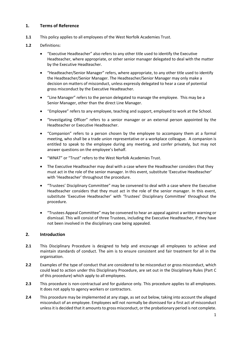## **1. Terms of Reference**

**1.1** This policy applies to all employees of the West Norfolk Academies Trust.

#### **1.2** Definitions:

- "Executive Headteacher" also refers to any other title used to identify the Executive Headteacher, where appropriate, or other senior manager delegated to deal with the matter by the Executive Headteacher.
- "Headteacher/Senior Manager" refers, where appropriate, to any other title used to identify the Headteacher/Senior Manager. The Headteacher/Senior Manager may only make a decision on matters of misconduct, unless expressly delegated to hear a case of potential gross misconduct by the Executive Headteacher.
- "Line Manager" refers to the person delegated to manage the employee. This may be a Senior Manager, other than the direct Line Manager.
- "Employee" refers to any employee, teaching and support, employed to work at the School.
- "Investigating Officer" refers to a senior manager or an external person appointed by the Headteacher or Executive Headteacher.
- "Companion" refers to a person chosen by the employee to accompany them at a formal meeting, who shall be a trade union representative or a workplace colleague. A companion is entitled to speak to the employee during any meeting, and confer privately, but may not answer questions on the employee's behalf.
- "WNAT" or "Trust" refers to the West Norfolk Academies Trust.
- The Executive Headteacher may deal with a case where the Headteacher considers that they must act in the role of the senior manager. In this event, substitute 'Executive Headteacher' with 'Headteacher' throughout the procedure.
- "Trustees' Disciplinary Committee" may be convened to deal with a case where the Executive Headteacher considers that they must act in the role of the senior manager. In this event, substitute 'Executive Headteacher' with 'Trustees' Disciplinary Committee' throughout the procedure.
- "Trustees Appeal Committee" may be convened to hear an appeal against a written warning or dismissal. This will consist of three Trustees, including the Executive Headteacher, if they have not been involved in the disciplinary case being appealed.

#### **2. Introduction**

- **2.1** This Disciplinary Procedure is designed to help and encourage all employees to achieve and maintain standards of conduct. The aim is to ensure consistent and fair treatment for all in the organisation.
- **2.2** Examples of the type of conduct that are considered to be misconduct or gross misconduct, which could lead to action under this Disciplinary Procedure, are set out in the Disciplinary Rules (Part C of this procedure) which apply to all employees.
- **2.3** This procedure is non-contractual and for guidance only. This procedure applies to all employees. It does not apply to agency workers or contractors.
- **2.4** This procedure may be implemented at any stage, as set out below, taking into account the alleged misconduct of an employee. Employees will not normally be dismissed for a first act of misconduct unless it is decided that it amounts to gross misconduct, or the probationary period is not complete.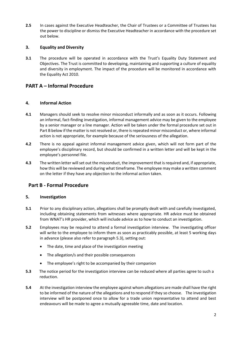**2.5** In cases against the Executive Headteacher, the Chair of Trustees or a Committee of Trustees has the power to discipline or dismiss the Executive Headteacher in accordance with the procedure set out below.

## **3. Equality and Diversity**

**3.1** The procedure will be operated in accordance with the Trust's Equality Duty Statement and Objectives. The Trust is committed to developing, maintaining and supporting a culture of equality and diversity in employment. The impact of the procedure will be monitored in accordance with the Equality Act 2010.

# **PART A – Informal Procedure**

## **4. Informal Action**

- **4.1** Managers should seek to resolve minor misconduct informally and as soon as it occurs. Following an informal, fact-finding investigation, informal management advice may be given to the employee by a senior manager or a line manager. Action will be taken under the formal procedure set out in Part B below if the matter is not resolved or, there is repeated minor misconduct or, where informal action is not appropriate, for example because of the seriousness of the allegation.
- **4.2** There is no appeal against informal management advice given, which will not form part of the employee's disciplinary record, but should be confirmed in a written letter and will be kept in the employee's personnel file.
- **4.3** The written letter will set out the misconduct, the improvement that is required and, if appropriate, how this will be reviewed and during what timeframe. The employee may make a written comment on the letter if they have any objection to the informal action taken.

## **Part B - Formal Procedure**

#### **5. Investigation**

- **5.1** Prior to any disciplinary action, allegations shall be promptly dealt with and carefully investigated, including obtaining statements from witnesses where appropriate. HR advice must be obtained from WNAT's HR provider, which will include advice as to how to conduct an investigation.
- **5.2** Employees may be required to attend a formal investigation interview. The investigating officer will write to the employee to inform them as soon as practicably possible, at least 5 working days in advance (please also refer to paragraph 5.3), setting out:
	- The date, time and place of the investigation meeting
	- The allegation/s and their possible consequences
	- The employee's right to be accompanied by their companion
- **5.3** The notice period for the investigation interview can be reduced where all parties agree to such a reduction.
- **5.4** At the investigation interview the employee against whom allegations are made shall have the right to be informed of the nature of the allegations and to respond if they so choose. The investigation interview will be postponed once to allow for a trade union representative to attend and best endeavours will be made to agree a mutually agreeable time, date and location.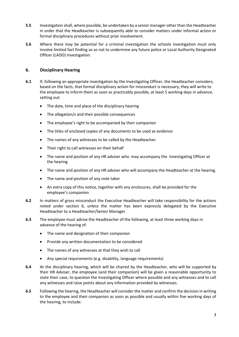- **5.5** Investigation shall, where possible, be undertaken by a senior manager other than the Headteacher in order that the Headteacher is subsequently able to consider matters under informal action or formal disciplinary procedures without prior involvement.
- **5.6** Where there may be potential for a criminal investigation the schools investigation must only involve limited fact finding so as not to undermine any future police or Local Authority Designated Officer (LADO) investigation.

## **6. Disciplinary Hearing**

- **6.1** If, following an appropriate investigation by the Investigating Officer, the Headteacher considers, based on the facts, that formal disciplinary action for misconduct is necessary, they will write to the employee to inform them as soon as practicably possible, at least 5 working days in advance, setting out:
	- The date, time and place of the disciplinary hearing
	- The allegation/s and their possible consequences
	- The employee's right to be accompanied by their companion
	- The titles of enclosed copies of any documents to be used as evidence
	- The names of any witnesses to be called by the Headteacher.
	- Their right to call witnesses on their behalf
	- The name and position of any HR adviser who may accompany the Investigating Officer at the hearing
	- The name and position of any HR adviser who will accompany the Headteacher at the hearing.
	- The name and position of any note taker
	- An extra copy of this notice, together with any enclosures, shall be provided for the employee's companion
- **6.2** In matters of gross misconduct the Executive Headteacher will take responsibility for the actions noted under section 6, unless the matter has been expressly delegated by the Executive Headteacher to a Headteacher/Senior Manager.
- **6.3** The employee must advise the Headteacher of the following, at least three working days in advance of the hearing of:
	- The name and designation of their companion
	- Provide any written documentation to be considered
	- The names of any witnesses at that they wish to call
	- Any special requirements (e.g. disability, language requirements)
- **6.4** At the disciplinary hearing, which will be chaired by the Headteacher, who will be supported by their HR Adviser, the employee (and their companion) will be given a reasonable opportunity to state their case, to question the Investigating Officer where possible and any witnesses and to call any witnesses and raise points about any information provided by witnesses.
- **6.5** Following the hearing, the Headteacher will consider the matter and confirm the decision in writing to the employee and their companion as soon as possible and usually within five working days of the hearing, to include: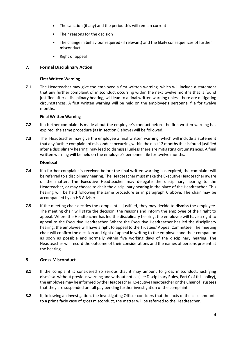- The sanction (if any) and the period this will remain current
- Their reasons for the decision
- The change in behaviour required (if relevant) and the likely consequences of further misconduct
- Right of appeal

## **7. Formal Disciplinary Action**

#### **First Written Warning**

**7.1** The Headteacher may give the employee a first written warning, which will include a statement that any further complaint of misconduct occurring within the next twelve months that is found justified after a disciplinary hearing, will lead to a final written warning unless there are mitigating circumstances. A first written warning will be held on the employee's personnel file for twelve months.

#### **Final Written Warning**

- **7.2** If a further complaint is made about the employee's conduct before the first written warning has expired, the same procedure (as in section 6 above) will be followed.
- **7.3** The Headteacher may give the employee a final written warning, which will include a statement that any further complaint of misconduct occurring within the next 12 months that is found justified after a disciplinary hearing, may lead to dismissal unless there are mitigating circumstances. A final written warning will be held on the employee's personnel file for twelve months.

#### **Dismissal**

- **7.4** If a further complaint is received before the final written warning has expired, the complaint will be referred to a disciplinary hearing. The Headteacher must make the Executive Headteacher aware of the matter. The Executive Headteacher may delegate the disciplinary hearing to the Headteacher, or may choose to chair the disciplinary hearing in the place of the Headteacher. This hearing will be held following the same procedure as in paragraph 6 above. The chair may be accompanied by an HR Adviser.
- **7.5** If the meeting chair decides the complaint is justified, they may decide to dismiss the employee. The meeting chair will state the decision, the reasons and inform the employee of their right to appeal. Where the Headteacher has led the disciplinary hearing, the employee will have a right to appeal to the Executive Headteacher. Where the Executive Headteacher has led the disciplinary hearing, the employee will have a right to appeal to the Trustees' Appeal Committee. The meeting chair will confirm the decision and right of appeal in writing to the employee and their companion as soon as possible and normally within five working days of the disciplinary hearing. The Headteacher will record the outcome of their considerations and the names of persons present at the hearing.

#### **8. Gross Misconduct**

- **8.1** If the complaint is considered so serious that it may amount to gross misconduct, justifying dismissal without previous warning and without notice (see Disciplinary Rules, Part C of this policy), the employee may be informed by the Headteacher, Executive Headteacher or the Chair of Trustees that they are suspended on full pay pending further investigation of the complaint.
- **8.2** If, following an investigation, the Investigating Officer considers that the facts of the case amount to a prima facie case of gross misconduct, the matter will be referred to the Headteacher.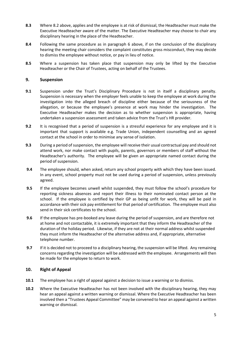- **8.3** Where 8.2 above, applies and the employee is at risk of dismissal, the Headteacher must make the Executive Headteacher aware of the matter. The Executive Headteacher may choose to chair any disciplinary hearing in the place of the Headteacher.
- **8.4** Following the same procedure as in paragraph 6 above, if on the conclusion of the disciplinary hearing the meeting chair considers the complaint constitutes gross misconduct, they may decide to dismiss the employee without notice, or pay in lieu of notice.
- **8.5** Where a suspension has taken place that suspension may only be lifted by the Executive Headteacher or the Chair of Trustees, acting on behalf of the Trustees.

#### **9. Suspension**

- **9.1** Suspension under the Trust's Disciplinary Procedure is not in itself a disciplinary penalty. Suspension is necessary when the employer feels unable to keep the employee at work during the investigation into the alleged breach of discipline either because of the seriousness of the allegation, or because the employee's presence at work may hinder the investigation. The Executive Headteacher makes the decision as to whether suspension is appropriate, having undertaken a suspension assessment and taken advice from the Trust's HR provider.
- **9.2** It is recognised that a period of suspension is a stressful experience for any employee and it is important that support is available e.g. Trade Union, independent counselling and an agreed contact at the school in order to minimise any sense of isolation.
- **9.3** During a period of suspension, the employee will receive their usual contractual pay and should not attend work, nor make contact with pupils, parents, governors or members of staff without the Headteacher's authority. The employee will be given an appropriate named contact during the period of suspension.
- **9.4** The employee should, when asked, return any school property with which they have been issued. In any event, school property must not be used during a period of suspension, unless previously agreed.
- **9.5** If the employee becomes unwell whilst suspended, they must follow the school's procedure for reporting sickness absences and report their illness to their nominated contact person at the school. If the employee is certified by their GP as being unfit for work, they will be paid in accordance with their sick pay entitlement for that period of certification. The employee must also send in their sick certificates to the school.
- **9.6** If the employee has pre-booked any leave during the period of suspension, and are therefore not at home and not contactable, it is extremely important that they inform the Headteacher of the duration of the holiday period. Likewise, if they are not at their normal address whilst suspended they must inform the Headteacher of the alternative address and, if appropriate, alternative telephone number.
- **9.7** If it is decided not to proceed to a disciplinary hearing, the suspension will be lifted. Any remaining concerns regarding the investigation will be addressed with the employee. Arrangements will then be made for the employee to return to work.

#### **10. Right of Appeal**

- **10.1** The employee has a right of appeal against a decision to issue a warning or to dismiss.
- **10.2** Where the Executive Headteacher has not been involved with the disciplinary hearing, they may hear an appeal against a written warning or dismissal. Where the Executive Headteacher has been involved then a "Trustees Appeal Committee" may be convened to hear an appeal against a written warning or dismissal.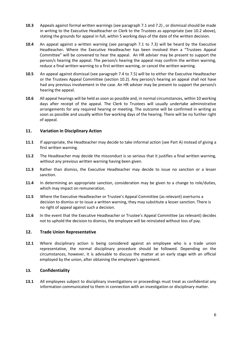- **10.3** Appeals against formal written warnings (see paragraph 7.1 and 7.2) , or dismissal should be made in writing to the Executive Headteacher or Clerk to the Trustees as appropriate (see 10.2 above), stating the grounds for appeal in full, within 5 working days of the date of the written decision.
- **10.4** An appeal against a written warning (see paragraph 7.1 to 7.3) will be heard by the Executive Headteacher**.** Where the Executive Headteacher has been involved then a "Trustees Appeal Committee" will be convened to hear the appeal. An HR adviser may be present to support the person/s hearing the appeal. The person/s hearing the appeal may confirm the written warning, reduce a final written warning to a first written warning, or cancel the written warning.
- **10.5** An appeal against dismissal (see paragraph 7.4 to 7.5) will be to either the Executive Headteacher or the Trustees Appeal Committee (section 10.2). Any person/s hearing an appeal shall not have had any previous involvement in the case. An HR adviser may be present to support the person/s hearing the appeal.
- **10.6** All appeal hearings will be held as soon as possible and, in normal circumstances, within 10 working days after receipt of the appeal. The Clerk to Trustees will usually undertake administrative arrangements for any required hearing or meeting. The outcome will be confirmed in writing as soon as possible and usually within five working days of the hearing. There will be no further right of appeal.

## **11. Variation in Disciplinary Action**

- **11.1** If appropriate, the Headteacher may decide to take informal action (see Part A) instead of giving a first written warning.
- **11.2** The Headteacher may decide the misconduct is so serious that it justifies a final written warning, without any previous written warning having been given.
- **11.3** Rather than dismiss, the Executive Headteacher may decide to issue no sanction or a lesser sanction.
- **11.4** In determining an appropriate sanction, consideration may be given to a change to role/duties, which may impact on remuneration.
- **11.5** Where the Executive Headteacher or Trustee's Appeal Committee (as relevant) overturns a decision to dismiss or to issue a written warning, they may substitute a lesser sanction. There is no right of appeal against such a decision.
- **11.6** In the event that the Executive Headteacher or Trustee's Appeal Committee (as relevant) decides not to uphold the decision to dismiss, the employee will be reinstated without loss of pay.

#### **12. Trade Union Representative**

**12.1** Where disciplinary action is being considered against an employee who is a trade union representative, the normal disciplinary procedure should be followed. Depending on the circumstances, however, it is advisable to discuss the matter at an early stage with an official employed by the union, after obtaining the employee's agreement.

#### **13. Confidentiality**

**13.1** All employees subject to disciplinary investigations or proceedings must treat as confidential any information communicated to them in connection with an investigation or disciplinary matter.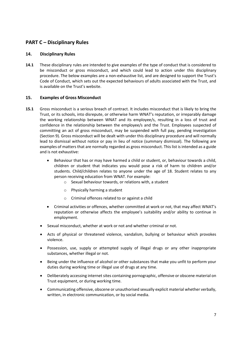# **PART C – Disciplinary Rules**

#### **14. Disciplinary Rules**

**14.1** These disciplinary rules are intended to give examples of the type of conduct that is considered to be misconduct or gross misconduct, and which could lead to action under this disciplinary procedure. The below examples are a non-exhaustive list, and are designed to support the Trust's Code of Conduct, which sets out the expected behaviours of adults associated with the Trust, and is available on the Trust's website.

#### **15. Examples of Gross Misconduct**

- **15.1** Gross misconduct is a serious breach of contract. It includes misconduct that is likely to bring the Trust, or its schools, into disrepute, or otherwise harm WNAT's reputation, or irreparably damage the working relationship between WNAT and its employee/s, resulting in a loss of trust and confidence in the relationship between the employee/s and the Trust. Employees suspected of committing an act of gross misconduct, may be suspended with full pay, pending investigation (Section 9). Gross misconduct will be dealt with under this disciplinary procedure and will normally lead to dismissal without notice or pay in lieu of notice (summary dismissal). The following are examples of matters that are normally regarded as gross misconduct. This list is intended as a guide and is not exhaustive:
	- Behaviour that has or may have harmed a child or student, or, behaviour towards a child, children or student that indicates you would pose a risk of harm to children and/or students. Child/children relates to anyone under the age of 18. Student relates to any person receiving education from WNAT. For example:
		- o Sexual behaviour towards, or relations with, a student
		- o Physically harming a student
		- o Criminal offences related to or against a child
	- Criminal activities or offences, whether committed at work or not, that may affect WNAT's reputation or otherwise affects the employee's suitability and/or ability to continue in employment.
	- Sexual misconduct, whether at work or not and whether criminal or not.
	- Acts of physical or threatened violence, vandalism, bullying or behaviour which provokes violence.
	- Possession, use, supply or attempted supply of illegal drugs or any other inappropriate substances, whether illegal or not.
	- Being under the influence of alcohol or other substances that make you unfit to perform your duties during working time or illegal use of drugs at any time.
	- Deliberately accessing internet sites containing pornographic, offensive or obscene material on Trust equipment, or during working time.
	- Communicating offensive, obscene or unauthorised sexually explicit material whether verbally, written, in electronic communication, or by social media.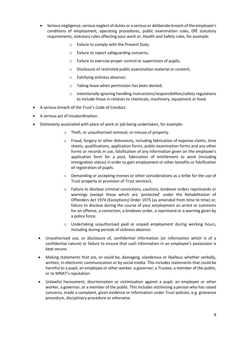- Serious negligence, serious neglect of duties or a serious or deliberate breach of the employee's conditions of employment, operating procedures, public examination rules, DfE statutory requirements, statutory rules affecting your work or, Health and Safety rules, for example:
	- o Failure to comply with the Prevent Duty;
	- o Failure to report safeguarding concerns;
	- o Failure to exercise proper control or supervision of pupils;
	- o Disclosure of restricted public examination material or content;
	- o Falsifying sickness absence;
	- o Taking leave when permission has been denied;
	- o Intentionally ignoring handling instructions/responsibilities/safety regulations to include those in relation to chemicals, machinery, equipment or food.
- A serious breach of the Trust's Code of Conduct.
- A serious act of insubordination.
- Dishonesty associated with place of work or job being undertaken, for example:
	- o Theft, or unauthorised removal, or misuse of property.
	- $\circ$  Fraud, forgery or other dishonesty, including fabrication of expense claims, time sheets, qualifications, application forms, public examination forms and any other forms or records in use, falsification of any information given on the employee's application form for a post, fabrication of entitlement to work (including immigration status) in order to gain employment or other benefits or falsification of registration of pupils.
	- $\circ$  Demanding or accepting monies or other considerations as a bribe for the use of Trust property or provision of Trust service/s.
	- o Failure to disclose criminal convictions, cautions, bindover orders reprimands or warnings (except those which are 'protected' under the Rehabilitation of Offenders Act 1974 (Exceptions) Order 1975 (as amended from time to time) or, failure to disclose during the course of your employment an arrest or summons for an offence, a conviction, a bindover order, a reprimand or a warning given by a police force.
	- o Undertaking unauthorised paid or unpaid employment during working hours, including during periods of sickness absence.
	- Unauthorised use, or disclosure of, confidential information (or information which is of a confidential nature) or failure to ensure that such information in an employee's possession is kept secure.
	- Making statements that are, or could be, damaging, slanderous or libellous whether verbally, written, in electronic communication or by social media. This includes statements that could be harmful to a pupil, an employee or other worker, a governor, a Trustee, a member of the public, or to WNAT's reputation.
	- Unlawful harassment, discrimination or victimisation against a pupil, an employee or other worker, a governor, or a member of the public. This includes victimising a person who has raised concerns, made a complaint, given evidence or information under Trust policies, e.g. grievance procedure, disciplinary procedure or otherwise.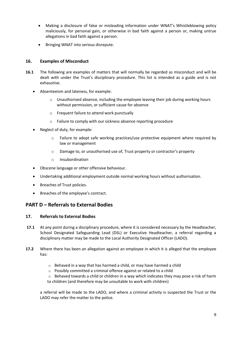- Making a disclosure of false or misleading information under WNAT's Whistleblowing policy maliciously, for personal gain, or otherwise in bad faith against a person or, making untrue allegations in bad faith against a person.
- Bringing WNAT into serious disrepute.

## **16. Examples of Misconduct**

- **16.1** The following are examples of matters that will normally be regarded as misconduct and will be dealt with under the Trust's disciplinary procedure. This list is intended as a guide and is not exhaustive.
	- Absenteeism and lateness, for example:
		- $\circ$  Unauthorised absence, including the employee leaving their job during working hours without permission, or sufficient cause for absence
		- o Frequent failure to attend work punctually
		- o Failure to comply with our sickness absence reporting procedure
	- Neglect of duty, for example:
		- o Failure to adopt safe working practices/use protective equipment where required by law or management
		- o Damage to, or unauthorised use of, Trust property or contractor's property
		- o Insubordination
	- Obscene language or other offensive behaviour.
	- Undertaking additional employment outside normal working hours without authorisation.
	- Breaches of Trust policies.
	- Breaches of the employee's contract.

# **PART D – Referrals to External Bodies**

## **17. Referrals to External Bodies**

- **17.1** At any point during a disciplinary procedure, where it is considered necessary by the Headteacher, School Designated Safeguarding Lead (DSL) or Executive Headteacher, a referral regarding a disciplinary matter may be made to the Local Authority Designated Officer (LADO).
- **17.2** Where there has been an allegation against an employee in which it is alleged that the employee has:
	- o Behaved in a way that has harmed a child, or may have harmed a child
	- o Possibly committed a criminal offence against or related to a child
	- $\circ$  Behaved towards a child or children in a way which indicates they may pose a risk of harm to children (and therefore may be unsuitable to work with children)

a referral will be made to the LADO, and where a criminal activity is suspected the Trust or the LADO may refer the matter to the police.